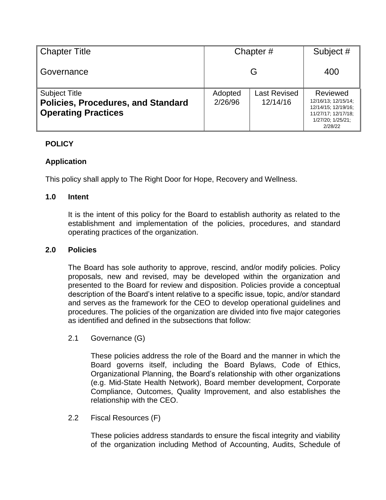| <b>Chapter Title</b>                                                                            | Chapter#           | Subject #                       |                                                                                                               |
|-------------------------------------------------------------------------------------------------|--------------------|---------------------------------|---------------------------------------------------------------------------------------------------------------|
| Governance                                                                                      | G                  |                                 | 400                                                                                                           |
| <b>Subject Title</b><br><b>Policies, Procedures, and Standard</b><br><b>Operating Practices</b> | Adopted<br>2/26/96 | <b>Last Revised</b><br>12/14/16 | Reviewed<br>12/16/13; 12/15/14;<br>12/14/15; 12/19/16;<br>11/27/17; 12/17/18;<br>1/27/20; 1/25/21;<br>2/28/22 |

# **POLICY**

# **Application**

This policy shall apply to The Right Door for Hope, Recovery and Wellness.

## **1.0 Intent**

It is the intent of this policy for the Board to establish authority as related to the establishment and implementation of the policies, procedures, and standard operating practices of the organization.

#### **2.0 Policies**

The Board has sole authority to approve, rescind, and/or modify policies. Policy proposals, new and revised, may be developed within the organization and presented to the Board for review and disposition. Policies provide a conceptual description of the Board's intent relative to a specific issue, topic, and/or standard and serves as the framework for the CEO to develop operational guidelines and procedures. The policies of the organization are divided into five major categories as identified and defined in the subsections that follow:

2.1 Governance (G)

These policies address the role of the Board and the manner in which the Board governs itself, including the Board Bylaws, Code of Ethics, Organizational Planning, the Board's relationship with other organizations (e.g. Mid-State Health Network), Board member development, Corporate Compliance, Outcomes, Quality Improvement, and also establishes the relationship with the CEO.

2.2 Fiscal Resources (F)

These policies address standards to ensure the fiscal integrity and viability of the organization including Method of Accounting, Audits, Schedule of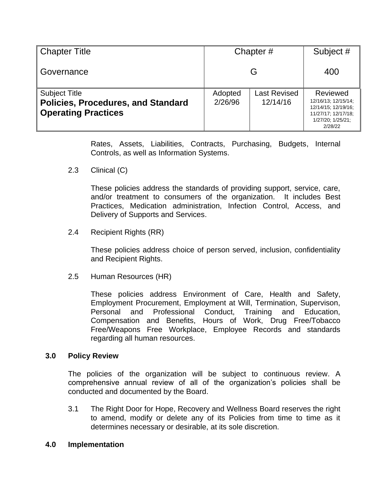| <b>Chapter Title</b>                                                                            | Chapter#           | Subject #                       |                                                                                                               |
|-------------------------------------------------------------------------------------------------|--------------------|---------------------------------|---------------------------------------------------------------------------------------------------------------|
| Governance                                                                                      | G                  |                                 | 400                                                                                                           |
| <b>Subject Title</b><br><b>Policies, Procedures, and Standard</b><br><b>Operating Practices</b> | Adopted<br>2/26/96 | <b>Last Revised</b><br>12/14/16 | Reviewed<br>12/16/13; 12/15/14;<br>12/14/15; 12/19/16;<br>11/27/17; 12/17/18;<br>1/27/20; 1/25/21;<br>2/28/22 |

Rates, Assets, Liabilities, Contracts, Purchasing, Budgets, Internal Controls, as well as Information Systems.

2.3 Clinical (C)

These policies address the standards of providing support, service, care, and/or treatment to consumers of the organization. It includes Best Practices, Medication administration, Infection Control, Access, and Delivery of Supports and Services.

2.4 Recipient Rights (RR)

These policies address choice of person served, inclusion, confidentiality and Recipient Rights.

2.5 Human Resources (HR)

These policies address Environment of Care, Health and Safety, Employment Procurement, Employment at Will, Termination, Supervison, Personal and Professional Conduct, Training and Education, Compensation and Benefits, Hours of Work, Drug Free/Tobacco Free/Weapons Free Workplace, Employee Records and standards regarding all human resources.

## **3.0 Policy Review**

The policies of the organization will be subject to continuous review. A comprehensive annual review of all of the organization's policies shall be conducted and documented by the Board.

3.1 The Right Door for Hope, Recovery and Wellness Board reserves the right to amend, modify or delete any of its Policies from time to time as it determines necessary or desirable, at its sole discretion.

## **4.0 Implementation**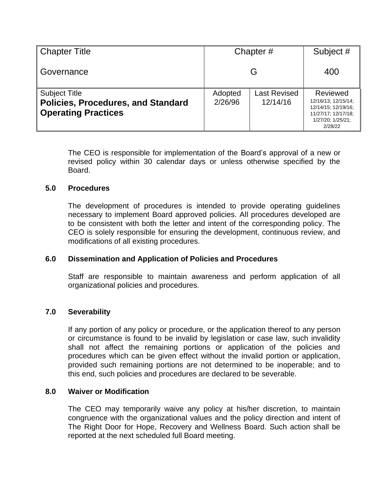| <b>Chapter Title</b>                                                                            | Chapter#           | Subject #                       |                                                                                                               |
|-------------------------------------------------------------------------------------------------|--------------------|---------------------------------|---------------------------------------------------------------------------------------------------------------|
| Governance                                                                                      | G                  |                                 | 400                                                                                                           |
| <b>Subject Title</b><br><b>Policies, Procedures, and Standard</b><br><b>Operating Practices</b> | Adopted<br>2/26/96 | <b>Last Revised</b><br>12/14/16 | Reviewed<br>12/16/13; 12/15/14;<br>12/14/15; 12/19/16;<br>11/27/17; 12/17/18;<br>1/27/20; 1/25/21;<br>2/28/22 |

The CEO is responsible for implementation of the Board's approval of a new or revised policy within 30 calendar days or unless otherwise specified by the Board.

## **5.0 Procedures**

The development of procedures is intended to provide operating guidelines necessary to implement Board approved policies. All procedures developed are to be consistent with both the letter and intent of the corresponding policy. The CEO is solely responsible for ensuring the development, continuous review, and modifications of all existing procedures.

## **6.0 Dissemination and Application of Policies and Procedures**

Staff are responsible to maintain awareness and perform application of all organizational policies and procedures.

## **7.0 Severability**

If any portion of any policy or procedure, or the application thereof to any person or circumstance is found to be invalid by legislation or case law, such invalidity shall not affect the remaining portions or application of the policies and procedures which can be given effect without the invalid portion or application, provided such remaining portions are not determined to be inoperable; and to this end, such policies and procedures are declared to be severable.

#### **8.0 Waiver or Modification**

The CEO may temporarily waive any policy at his/her discretion, to maintain congruence with the organizational values and the policy direction and intent of The Right Door for Hope, Recovery and Wellness Board. Such action shall be reported at the next scheduled full Board meeting.